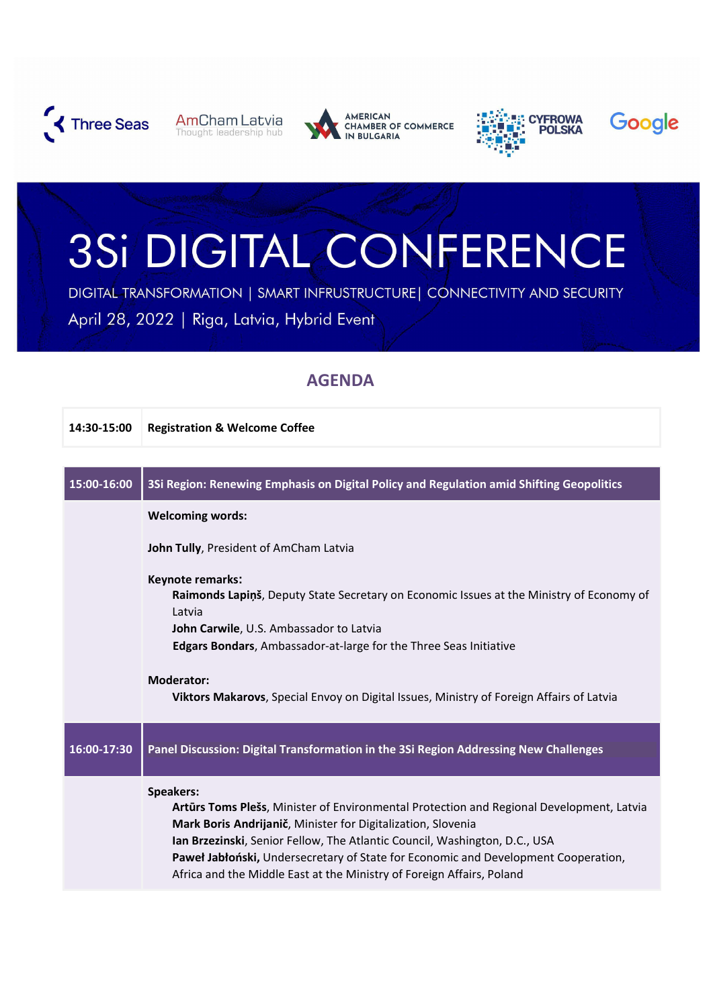

**AmCham Latvia** Thought leadership hub



**AMERICAN** CHAMBER OF COMMERCE





## 3Si DIGITAL CONFERENCE

DIGITAL TRANSFORMATION | SMART INFRUSTRUCTURE | CONNECTIVITY AND SECURITY April 28, 2022 | Riga, Latvia, Hybrid Event

## **AGENDA**

| 14:30-15:00 | <b>Registration &amp; Welcome Coffee</b>                                                                                                                                                                                                                                                                                                                                                                                  |
|-------------|---------------------------------------------------------------------------------------------------------------------------------------------------------------------------------------------------------------------------------------------------------------------------------------------------------------------------------------------------------------------------------------------------------------------------|
|             |                                                                                                                                                                                                                                                                                                                                                                                                                           |
| 15:00-16:00 | 3Si Region: Renewing Emphasis on Digital Policy and Regulation amid Shifting Geopolitics                                                                                                                                                                                                                                                                                                                                  |
|             | <b>Welcoming words:</b>                                                                                                                                                                                                                                                                                                                                                                                                   |
|             | John Tully, President of AmCham Latvia                                                                                                                                                                                                                                                                                                                                                                                    |
|             | Keynote remarks:<br>Raimonds Lapinš, Deputy State Secretary on Economic Issues at the Ministry of Economy of<br>Latvia<br>John Carwile, U.S. Ambassador to Latvia<br><b>Edgars Bondars, Ambassador-at-large for the Three Seas Initiative</b>                                                                                                                                                                             |
|             | <b>Moderator:</b><br>Viktors Makarovs, Special Envoy on Digital Issues, Ministry of Foreign Affairs of Latvia                                                                                                                                                                                                                                                                                                             |
| 16:00-17:30 | Panel Discussion: Digital Transformation in the 3Si Region Addressing New Challenges                                                                                                                                                                                                                                                                                                                                      |
|             | <b>Speakers:</b><br>Artūrs Toms Plešs, Minister of Environmental Protection and Regional Development, Latvia<br>Mark Boris Andrijanič, Minister for Digitalization, Slovenia<br>Ian Brzezinski, Senior Fellow, The Atlantic Council, Washington, D.C., USA<br>Paweł Jabłoński, Undersecretary of State for Economic and Development Cooperation,<br>Africa and the Middle East at the Ministry of Foreign Affairs, Poland |